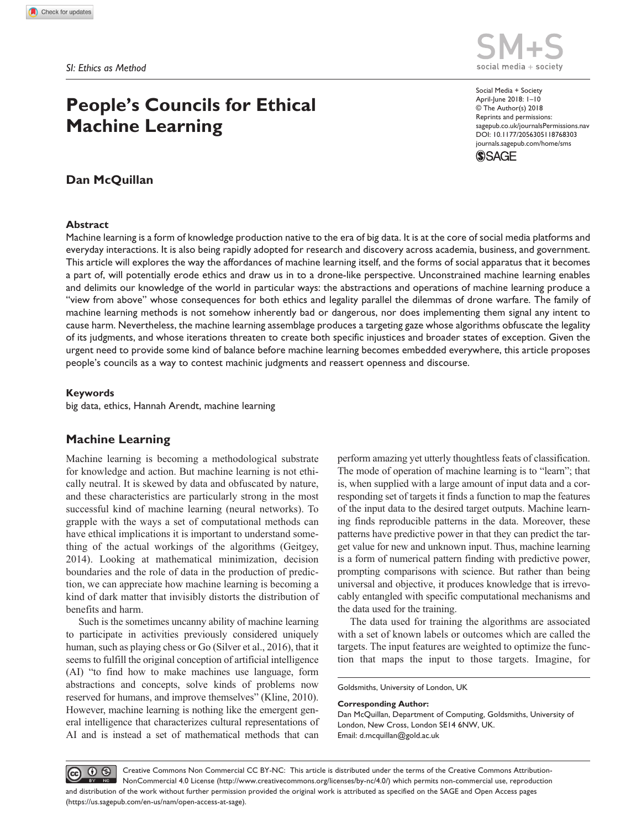# **People's Councils for Ethical Machine Learning**

## **Dan McQuillan**

#### **Abstract**

Machine learning is a form of knowledge production native to the era of big data. It is at the core of social media platforms and everyday interactions. It is also being rapidly adopted for research and discovery across academia, business, and government. This article will explores the way the affordances of machine learning itself, and the forms of social apparatus that it becomes a part of, will potentially erode ethics and draw us in to a drone-like perspective. Unconstrained machine learning enables and delimits our knowledge of the world in particular ways: the abstractions and operations of machine learning produce a "view from above" whose consequences for both ethics and legality parallel the dilemmas of drone warfare. The family of machine learning methods is not somehow inherently bad or dangerous, nor does implementing them signal any intent to cause harm. Nevertheless, the machine learning assemblage produces a targeting gaze whose algorithms obfuscate the legality of its judgments, and whose iterations threaten to create both specific injustices and broader states of exception. Given the urgent need to provide some kind of balance before machine learning becomes embedded everywhere, this article proposes people's councils as a way to contest machinic judgments and reassert openness and discourse.

### **Keywords**

big data, ethics, Hannah Arendt, machine learning

## **Machine Learning**

Machine learning is becoming a methodological substrate for knowledge and action. But machine learning is not ethically neutral. It is skewed by data and obfuscated by nature, and these characteristics are particularly strong in the most successful kind of machine learning (neural networks). To grapple with the ways a set of computational methods can have ethical implications it is important to understand something of the actual workings of the algorithms (Geitgey, 2014). Looking at mathematical minimization, decision boundaries and the role of data in the production of prediction, we can appreciate how machine learning is becoming a kind of dark matter that invisibly distorts the distribution of benefits and harm.

Such is the sometimes uncanny ability of machine learning to participate in activities previously considered uniquely human, such as playing chess or Go (Silver et al., 2016), that it seems to fulfill the original conception of artificial intelligence (AI) "to find how to make machines use language, form abstractions and concepts, solve kinds of problems now reserved for humans, and improve themselves" (Kline, 2010). However, machine learning is nothing like the emergent general intelligence that characterizes cultural representations of AI and is instead a set of mathematical methods that can

perform amazing yet utterly thoughtless feats of classification. The mode of operation of machine learning is to "learn"; that is, when supplied with a large amount of input data and a corresponding set of targets it finds a function to map the features of the input data to the desired target outputs. Machine learning finds reproducible patterns in the data. Moreover, these patterns have predictive power in that they can predict the target value for new and unknown input. Thus, machine learning is a form of numerical pattern finding with predictive power, prompting comparisons with science. But rather than being universal and objective, it produces knowledge that is irrevocably entangled with specific computational mechanisms and the data used for the training.

The data used for training the algorithms are associated with a set of known labels or outcomes which are called the targets. The input features are weighted to optimize the function that maps the input to those targets. Imagine, for

Goldsmiths, University of London, UK

#### **Corresponding Author:**

Dan McQuillan, Department of Computing, Goldsmiths, University of London, New Cross, London SE14 6NW, UK. Email: [d.mcquillan@gold.ac.uk](mailto:d.mcquillan@gold.ac.uk)

 $\boxed{\odot}$   $\boxed{0}$ Creative Commons Non Commercial CC BY-NC: This article is distributed under the terms of the Creative Commons Attribution-NonCommercial 4.0 License (http://www.creativecommons.org/licenses/by-nc/4.0/) which permits non-commercial use, reproduction and distribution of the work without further permission provided the original work is attributed as specified on the SAGE and Open Access pages (https://us.sagepub.com/en-us/nam/open-access-at-sage).



https://doi.org/10.1177/2056305118768303 DOI: 10.1177/2056305118768303 Social Media + Society April-June 2018: 1–10 © The Author(s) 2018 Reprints and permissions: [sagepub.co.uk/journalsPermissions.nav](https://uk.sagepub.com/en-gb/journals-permissions) [journals.sagepub.com/home/sms](https://journals.sagepub.com/home/sms)

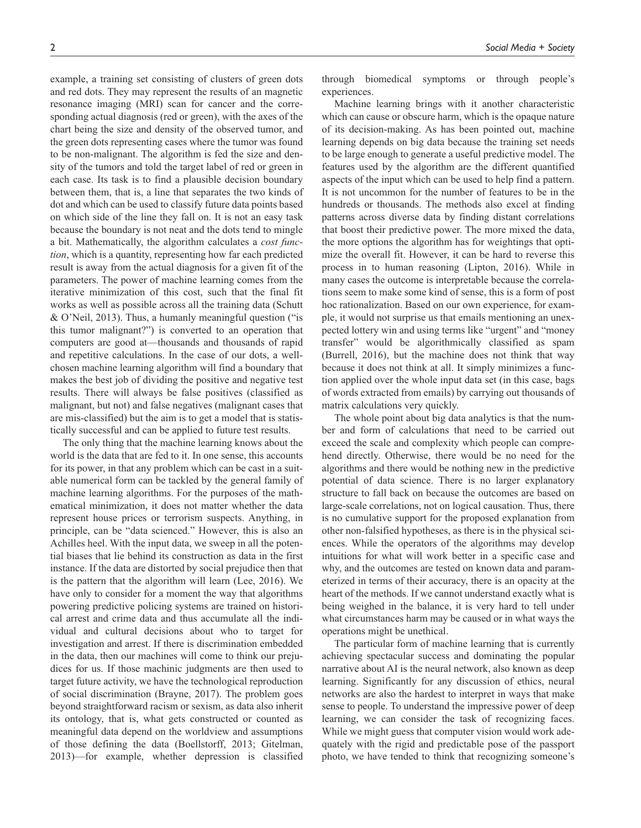example, a training set consisting of clusters of green dots and red dots. They may represent the results of an magnetic resonance imaging (MRI) scan for cancer and the corresponding actual diagnosis (red or green), with the axes of the chart being the size and density of the observed tumor, and the green dots representing cases where the tumor was found to be non-malignant. The algorithm is fed the size and density of the tumors and told the target label of red or green in each case. Its task is to find a plausible decision boundary between them, that is, a line that separates the two kinds of dot and which can be used to classify future data points based on which side of the line they fall on. It is not an easy task because the boundary is not neat and the dots tend to mingle a bit. Mathematically, the algorithm calculates a *cost function*, which is a quantity, representing how far each predicted result is away from the actual diagnosis for a given fit of the parameters. The power of machine learning comes from the iterative minimization of this cost, such that the final fit works as well as possible across all the training data (Schutt & O'Neil, 2013). Thus, a humanly meaningful question ("is this tumor malignant?") is converted to an operation that computers are good at—thousands and thousands of rapid and repetitive calculations. In the case of our dots, a wellchosen machine learning algorithm will find a boundary that makes the best job of dividing the positive and negative test results. There will always be false positives (classified as malignant, but not) and false negatives (malignant cases that are mis-classified) but the aim is to get a model that is statistically successful and can be applied to future test results.

The only thing that the machine learning knows about the world is the data that are fed to it. In one sense, this accounts for its power, in that any problem which can be cast in a suitable numerical form can be tackled by the general family of machine learning algorithms. For the purposes of the mathematical minimization, it does not matter whether the data represent house prices or terrorism suspects. Anything, in principle, can be "data scienced." However, this is also an Achilles heel. With the input data, we sweep in all the potential biases that lie behind its construction as data in the first instance. If the data are distorted by social prejudice then that is the pattern that the algorithm will learn (Lee, 2016). We have only to consider for a moment the way that algorithms powering predictive policing systems are trained on historical arrest and crime data and thus accumulate all the individual and cultural decisions about who to target for investigation and arrest. If there is discrimination embedded in the data, then our machines will come to think our prejudices for us. If those machinic judgments are then used to target future activity, we have the technological reproduction of social discrimination (Brayne, 2017). The problem goes beyond straightforward racism or sexism, as data also inherit its ontology, that is, what gets constructed or counted as meaningful data depend on the worldview and assumptions of those defining the data (Boellstorff, 2013; Gitelman, 2013)—for example, whether depression is classified

through biomedical symptoms or through people's experiences.

Machine learning brings with it another characteristic which can cause or obscure harm, which is the opaque nature of its decision-making. As has been pointed out, machine learning depends on big data because the training set needs to be large enough to generate a useful predictive model. The features used by the algorithm are the different quantified aspects of the input which can be used to help find a pattern. It is not uncommon for the number of features to be in the hundreds or thousands. The methods also excel at finding patterns across diverse data by finding distant correlations that boost their predictive power. The more mixed the data, the more options the algorithm has for weightings that optimize the overall fit. However, it can be hard to reverse this process in to human reasoning (Lipton, 2016). While in many cases the outcome is interpretable because the correlations seem to make some kind of sense, this is a form of post hoc rationalization. Based on our own experience, for example, it would not surprise us that emails mentioning an unexpected lottery win and using terms like "urgent" and "money transfer" would be algorithmically classified as spam (Burrell, 2016), but the machine does not think that way because it does not think at all. It simply minimizes a function applied over the whole input data set (in this case, bags of words extracted from emails) by carrying out thousands of matrix calculations very quickly.

The whole point about big data analytics is that the number and form of calculations that need to be carried out exceed the scale and complexity which people can comprehend directly. Otherwise, there would be no need for the algorithms and there would be nothing new in the predictive potential of data science. There is no larger explanatory structure to fall back on because the outcomes are based on large-scale correlations, not on logical causation. Thus, there is no cumulative support for the proposed explanation from other non-falsified hypotheses, as there is in the physical sciences. While the operators of the algorithms may develop intuitions for what will work better in a specific case and why, and the outcomes are tested on known data and parameterized in terms of their accuracy, there is an opacity at the heart of the methods. If we cannot understand exactly what is being weighed in the balance, it is very hard to tell under what circumstances harm may be caused or in what ways the operations might be unethical.

The particular form of machine learning that is currently achieving spectacular success and dominating the popular narrative about AI is the neural network, also known as deep learning. Significantly for any discussion of ethics, neural networks are also the hardest to interpret in ways that make sense to people. To understand the impressive power of deep learning, we can consider the task of recognizing faces. While we might guess that computer vision would work adequately with the rigid and predictable pose of the passport photo, we have tended to think that recognizing someone's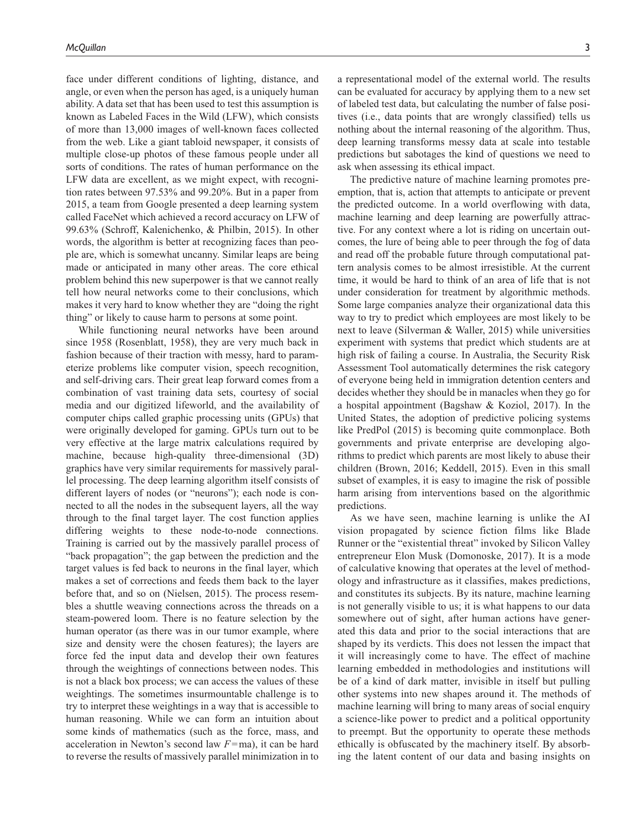face under different conditions of lighting, distance, and angle, or even when the person has aged, is a uniquely human ability. A data set that has been used to test this assumption is known as Labeled Faces in the Wild (LFW), which consists of more than 13,000 images of well-known faces collected from the web. Like a giant tabloid newspaper, it consists of multiple close-up photos of these famous people under all sorts of conditions. The rates of human performance on the LFW data are excellent, as we might expect, with recognition rates between 97.53% and 99.20%. But in a paper from 2015, a team from Google presented a deep learning system called FaceNet which achieved a record accuracy on LFW of 99.63% (Schroff, Kalenichenko, & Philbin, 2015). In other words, the algorithm is better at recognizing faces than people are, which is somewhat uncanny. Similar leaps are being made or anticipated in many other areas. The core ethical problem behind this new superpower is that we cannot really tell how neural networks come to their conclusions, which makes it very hard to know whether they are "doing the right thing" or likely to cause harm to persons at some point.

While functioning neural networks have been around since 1958 (Rosenblatt, 1958), they are very much back in fashion because of their traction with messy, hard to parameterize problems like computer vision, speech recognition, and self-driving cars. Their great leap forward comes from a combination of vast training data sets, courtesy of social media and our digitized lifeworld, and the availability of computer chips called graphic processing units (GPUs) that were originally developed for gaming. GPUs turn out to be very effective at the large matrix calculations required by machine, because high-quality three-dimensional (3D) graphics have very similar requirements for massively parallel processing. The deep learning algorithm itself consists of different layers of nodes (or "neurons"); each node is connected to all the nodes in the subsequent layers, all the way through to the final target layer. The cost function applies differing weights to these node-to-node connections. Training is carried out by the massively parallel process of "back propagation"; the gap between the prediction and the target values is fed back to neurons in the final layer, which makes a set of corrections and feeds them back to the layer before that, and so on (Nielsen, 2015). The process resembles a shuttle weaving connections across the threads on a steam-powered loom. There is no feature selection by the human operator (as there was in our tumor example, where size and density were the chosen features); the layers are force fed the input data and develop their own features through the weightings of connections between nodes. This is not a black box process; we can access the values of these weightings. The sometimes insurmountable challenge is to try to interpret these weightings in a way that is accessible to human reasoning. While we can form an intuition about some kinds of mathematics (such as the force, mass, and acceleration in Newton's second law *F*=ma), it can be hard to reverse the results of massively parallel minimization in to

a representational model of the external world. The results can be evaluated for accuracy by applying them to a new set of labeled test data, but calculating the number of false positives (i.e., data points that are wrongly classified) tells us nothing about the internal reasoning of the algorithm. Thus, deep learning transforms messy data at scale into testable predictions but sabotages the kind of questions we need to ask when assessing its ethical impact.

The predictive nature of machine learning promotes preemption, that is, action that attempts to anticipate or prevent the predicted outcome. In a world overflowing with data, machine learning and deep learning are powerfully attractive. For any context where a lot is riding on uncertain outcomes, the lure of being able to peer through the fog of data and read off the probable future through computational pattern analysis comes to be almost irresistible. At the current time, it would be hard to think of an area of life that is not under consideration for treatment by algorithmic methods. Some large companies analyze their organizational data this way to try to predict which employees are most likely to be next to leave (Silverman & Waller, 2015) while universities experiment with systems that predict which students are at high risk of failing a course. In Australia, the Security Risk Assessment Tool automatically determines the risk category of everyone being held in immigration detention centers and decides whether they should be in manacles when they go for a hospital appointment (Bagshaw & Koziol, 2017). In the United States, the adoption of predictive policing systems like PredPol (2015) is becoming quite commonplace. Both governments and private enterprise are developing algorithms to predict which parents are most likely to abuse their children (Brown, 2016; Keddell, 2015). Even in this small subset of examples, it is easy to imagine the risk of possible harm arising from interventions based on the algorithmic predictions.

As we have seen, machine learning is unlike the AI vision propagated by science fiction films like Blade Runner or the "existential threat" invoked by Silicon Valley entrepreneur Elon Musk (Domonoske, 2017). It is a mode of calculative knowing that operates at the level of methodology and infrastructure as it classifies, makes predictions, and constitutes its subjects. By its nature, machine learning is not generally visible to us; it is what happens to our data somewhere out of sight, after human actions have generated this data and prior to the social interactions that are shaped by its verdicts. This does not lessen the impact that it will increasingly come to have. The effect of machine learning embedded in methodologies and institutions will be of a kind of dark matter, invisible in itself but pulling other systems into new shapes around it. The methods of machine learning will bring to many areas of social enquiry a science-like power to predict and a political opportunity to preempt. But the opportunity to operate these methods ethically is obfuscated by the machinery itself. By absorbing the latent content of our data and basing insights on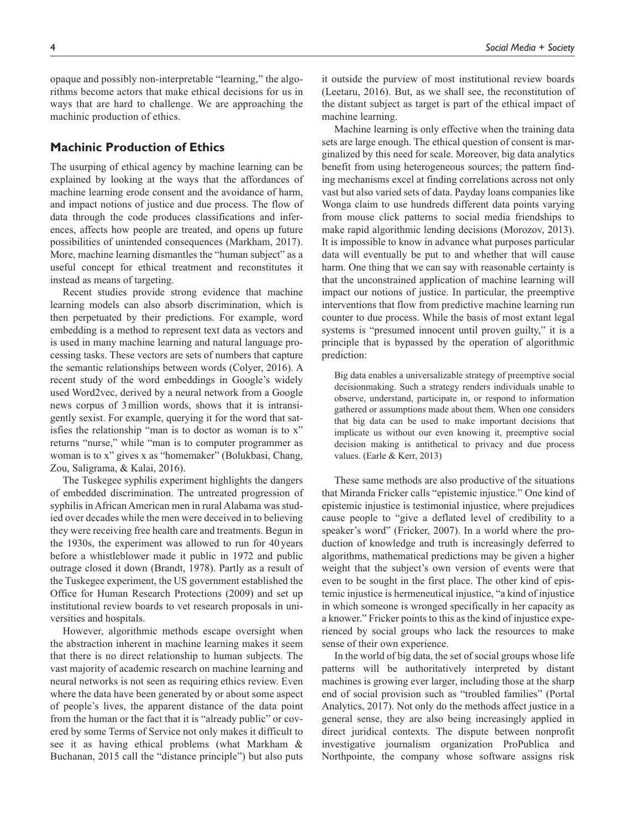opaque and possibly non-interpretable "learning," the algorithms become actors that make ethical decisions for us in ways that are hard to challenge. We are approaching the machinic production of ethics.

## **Machinic Production of Ethics**

The usurping of ethical agency by machine learning can be explained by looking at the ways that the affordances of machine learning erode consent and the avoidance of harm, and impact notions of justice and due process. The flow of data through the code produces classifications and inferences, affects how people are treated, and opens up future possibilities of unintended consequences (Markham, 2017). More, machine learning dismantles the "human subject" as a useful concept for ethical treatment and reconstitutes it instead as means of targeting.

Recent studies provide strong evidence that machine learning models can also absorb discrimination, which is then perpetuated by their predictions. For example, word embedding is a method to represent text data as vectors and is used in many machine learning and natural language processing tasks. These vectors are sets of numbers that capture the semantic relationships between words (Colyer, 2016). A recent study of the word embeddings in Google's widely used Word2vec, derived by a neural network from a Google news corpus of 3million words, shows that it is intransigently sexist. For example, querying it for the word that satisfies the relationship "man is to doctor as woman is to x" returns "nurse," while "man is to computer programmer as woman is to x" gives x as "homemaker" (Bolukbasi, Chang, Zou, Saligrama, & Kalai, 2016).

The Tuskegee syphilis experiment highlights the dangers of embedded discrimination. The untreated progression of syphilis in African American men in rural Alabama was studied over decades while the men were deceived in to believing they were receiving free health care and treatments. Begun in the 1930s, the experiment was allowed to run for 40years before a whistleblower made it public in 1972 and public outrage closed it down (Brandt, 1978). Partly as a result of the Tuskegee experiment, the US government established the Office for Human Research Protections (2009) and set up institutional review boards to vet research proposals in universities and hospitals.

However, algorithmic methods escape oversight when the abstraction inherent in machine learning makes it seem that there is no direct relationship to human subjects. The vast majority of academic research on machine learning and neural networks is not seen as requiring ethics review. Even where the data have been generated by or about some aspect of people's lives, the apparent distance of the data point from the human or the fact that it is "already public" or covered by some Terms of Service not only makes it difficult to see it as having ethical problems (what Markham & Buchanan, 2015 call the "distance principle") but also puts

it outside the purview of most institutional review boards (Leetaru, 2016). But, as we shall see, the reconstitution of the distant subject as target is part of the ethical impact of machine learning.

Machine learning is only effective when the training data sets are large enough. The ethical question of consent is marginalized by this need for scale. Moreover, big data analytics benefit from using heterogeneous sources; the pattern finding mechanisms excel at finding correlations across not only vast but also varied sets of data. Payday loans companies like Wonga claim to use hundreds different data points varying from mouse click patterns to social media friendships to make rapid algorithmic lending decisions (Morozov, 2013). It is impossible to know in advance what purposes particular data will eventually be put to and whether that will cause harm. One thing that we can say with reasonable certainty is that the unconstrained application of machine learning will impact our notions of justice. In particular, the preemptive interventions that flow from predictive machine learning run counter to due process. While the basis of most extant legal systems is "presumed innocent until proven guilty," it is a principle that is bypassed by the operation of algorithmic prediction:

Big data enables a universalizable strategy of preemptive social decisionmaking. Such a strategy renders individuals unable to observe, understand, participate in, or respond to information gathered or assumptions made about them. When one considers that big data can be used to make important decisions that implicate us without our even knowing it, preemptive social decision making is antithetical to privacy and due process values. (Earle & Kerr, 2013)

These same methods are also productive of the situations that Miranda Fricker calls "epistemic injustice." One kind of epistemic injustice is testimonial injustice, where prejudices cause people to "give a deflated level of credibility to a speaker's word" (Fricker, 2007). In a world where the production of knowledge and truth is increasingly deferred to algorithms, mathematical predictions may be given a higher weight that the subject's own version of events were that even to be sought in the first place. The other kind of epistemic injustice is hermeneutical injustice, "a kind of injustice in which someone is wronged specifically in her capacity as a knower." Fricker points to this as the kind of injustice experienced by social groups who lack the resources to make sense of their own experience.

In the world of big data, the set of social groups whose life patterns will be authoritatively interpreted by distant machines is growing ever larger, including those at the sharp end of social provision such as "troubled families" (Portal Analytics, 2017). Not only do the methods affect justice in a general sense, they are also being increasingly applied in direct juridical contexts. The dispute between nonprofit investigative journalism organization ProPublica and Northpointe, the company whose software assigns risk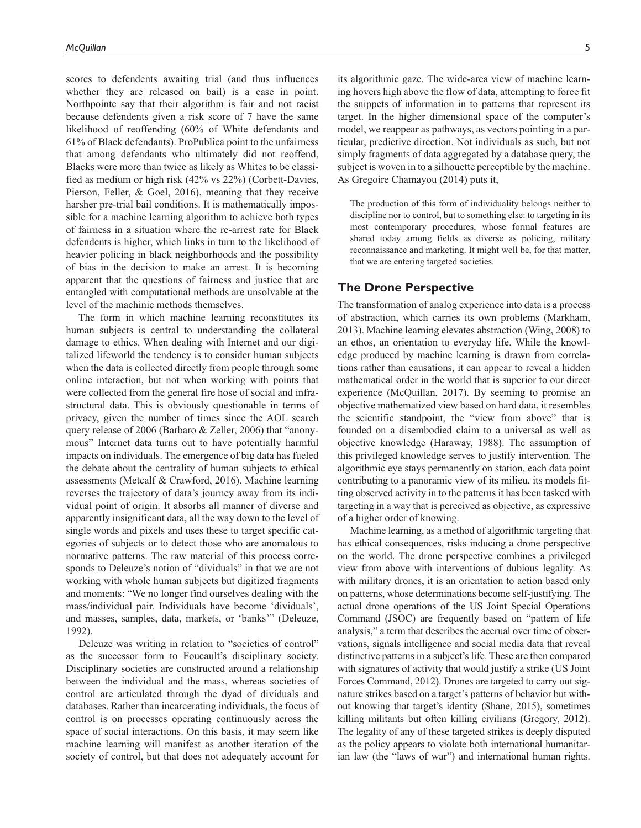scores to defendents awaiting trial (and thus influences whether they are released on bail) is a case in point. Northpointe say that their algorithm is fair and not racist because defendents given a risk score of 7 have the same likelihood of reoffending (60% of White defendants and 61% of Black defendants). ProPublica point to the unfairness that among defendants who ultimately did not reoffend, Blacks were more than twice as likely as Whites to be classified as medium or high risk (42% vs 22%) (Corbett-Davies, Pierson, Feller, & Goel, 2016), meaning that they receive harsher pre-trial bail conditions. It is mathematically impossible for a machine learning algorithm to achieve both types of fairness in a situation where the re-arrest rate for Black defendents is higher, which links in turn to the likelihood of heavier policing in black neighborhoods and the possibility of bias in the decision to make an arrest. It is becoming apparent that the questions of fairness and justice that are entangled with computational methods are unsolvable at the level of the machinic methods themselves.

The form in which machine learning reconstitutes its human subjects is central to understanding the collateral damage to ethics. When dealing with Internet and our digitalized lifeworld the tendency is to consider human subjects when the data is collected directly from people through some online interaction, but not when working with points that were collected from the general fire hose of social and infrastructural data. This is obviously questionable in terms of privacy, given the number of times since the AOL search query release of 2006 (Barbaro & Zeller, 2006) that "anonymous" Internet data turns out to have potentially harmful impacts on individuals. The emergence of big data has fueled the debate about the centrality of human subjects to ethical assessments (Metcalf & Crawford, 2016). Machine learning reverses the trajectory of data's journey away from its individual point of origin. It absorbs all manner of diverse and apparently insignificant data, all the way down to the level of single words and pixels and uses these to target specific categories of subjects or to detect those who are anomalous to normative patterns. The raw material of this process corresponds to Deleuze's notion of "dividuals" in that we are not working with whole human subjects but digitized fragments and moments: "We no longer find ourselves dealing with the mass/individual pair. Individuals have become 'dividuals', and masses, samples, data, markets, or 'banks'" (Deleuze, 1992).

Deleuze was writing in relation to "societies of control" as the successor form to Foucault's disciplinary society. Disciplinary societies are constructed around a relationship between the individual and the mass, whereas societies of control are articulated through the dyad of dividuals and databases. Rather than incarcerating individuals, the focus of control is on processes operating continuously across the space of social interactions. On this basis, it may seem like machine learning will manifest as another iteration of the society of control, but that does not adequately account for its algorithmic gaze. The wide-area view of machine learning hovers high above the flow of data, attempting to force fit the snippets of information in to patterns that represent its target. In the higher dimensional space of the computer's model, we reappear as pathways, as vectors pointing in a particular, predictive direction. Not individuals as such, but not simply fragments of data aggregated by a database query, the subject is woven in to a silhouette perceptible by the machine. As Gregoire Chamayou (2014) puts it,

The production of this form of individuality belongs neither to discipline nor to control, but to something else: to targeting in its most contemporary procedures, whose formal features are shared today among fields as diverse as policing, military reconnaissance and marketing. It might well be, for that matter, that we are entering targeted societies.

## **The Drone Perspective**

The transformation of analog experience into data is a process of abstraction, which carries its own problems (Markham, 2013). Machine learning elevates abstraction (Wing, 2008) to an ethos, an orientation to everyday life. While the knowledge produced by machine learning is drawn from correlations rather than causations, it can appear to reveal a hidden mathematical order in the world that is superior to our direct experience (McQuillan, 2017). By seeming to promise an objective mathematized view based on hard data, it resembles the scientific standpoint, the "view from above" that is founded on a disembodied claim to a universal as well as objective knowledge (Haraway, 1988). The assumption of this privileged knowledge serves to justify intervention. The algorithmic eye stays permanently on station, each data point contributing to a panoramic view of its milieu, its models fitting observed activity in to the patterns it has been tasked with targeting in a way that is perceived as objective, as expressive of a higher order of knowing.

Machine learning, as a method of algorithmic targeting that has ethical consequences, risks inducing a drone perspective on the world. The drone perspective combines a privileged view from above with interventions of dubious legality. As with military drones, it is an orientation to action based only on patterns, whose determinations become self-justifying. The actual drone operations of the US Joint Special Operations Command (JSOC) are frequently based on "pattern of life analysis," a term that describes the accrual over time of observations, signals intelligence and social media data that reveal distinctive patterns in a subject's life. These are then compared with signatures of activity that would justify a strike (US Joint Forces Command, 2012). Drones are targeted to carry out signature strikes based on a target's patterns of behavior but without knowing that target's identity (Shane, 2015), sometimes killing militants but often killing civilians (Gregory, 2012). The legality of any of these targeted strikes is deeply disputed as the policy appears to violate both international humanitarian law (the "laws of war") and international human rights.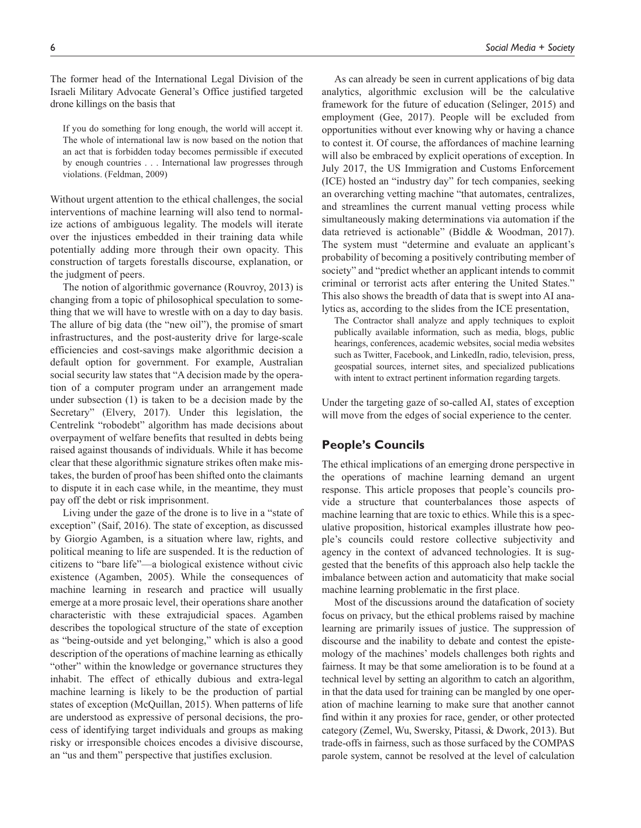The former head of the International Legal Division of the Israeli Military Advocate General's Office justified targeted drone killings on the basis that

If you do something for long enough, the world will accept it. The whole of international law is now based on the notion that an act that is forbidden today becomes permissible if executed by enough countries . . . International law progresses through violations. (Feldman, 2009)

Without urgent attention to the ethical challenges, the social interventions of machine learning will also tend to normalize actions of ambiguous legality. The models will iterate over the injustices embedded in their training data while potentially adding more through their own opacity. This construction of targets forestalls discourse, explanation, or the judgment of peers.

The notion of algorithmic governance (Rouvroy, 2013) is changing from a topic of philosophical speculation to something that we will have to wrestle with on a day to day basis. The allure of big data (the "new oil"), the promise of smart infrastructures, and the post-austerity drive for large-scale efficiencies and cost-savings make algorithmic decision a default option for government. For example, Australian social security law states that "A decision made by the operation of a computer program under an arrangement made under subsection (1) is taken to be a decision made by the Secretary" (Elvery, 2017). Under this legislation, the Centrelink "robodebt" algorithm has made decisions about overpayment of welfare benefits that resulted in debts being raised against thousands of individuals. While it has become clear that these algorithmic signature strikes often make mistakes, the burden of proof has been shifted onto the claimants to dispute it in each case while, in the meantime, they must pay off the debt or risk imprisonment.

Living under the gaze of the drone is to live in a "state of exception" (Saif, 2016). The state of exception, as discussed by Giorgio Agamben, is a situation where law, rights, and political meaning to life are suspended. It is the reduction of citizens to "bare life"—a biological existence without civic existence (Agamben, 2005). While the consequences of machine learning in research and practice will usually emerge at a more prosaic level, their operations share another characteristic with these extrajudicial spaces. Agamben describes the topological structure of the state of exception as "being-outside and yet belonging," which is also a good description of the operations of machine learning as ethically "other" within the knowledge or governance structures they inhabit. The effect of ethically dubious and extra-legal machine learning is likely to be the production of partial states of exception (McQuillan, 2015). When patterns of life are understood as expressive of personal decisions, the process of identifying target individuals and groups as making risky or irresponsible choices encodes a divisive discourse, an "us and them" perspective that justifies exclusion.

As can already be seen in current applications of big data analytics, algorithmic exclusion will be the calculative framework for the future of education (Selinger, 2015) and employment (Gee, 2017). People will be excluded from opportunities without ever knowing why or having a chance to contest it. Of course, the affordances of machine learning will also be embraced by explicit operations of exception. In July 2017, the US Immigration and Customs Enforcement (ICE) hosted an "industry day" for tech companies, seeking an overarching vetting machine "that automates, centralizes, and streamlines the current manual vetting process while simultaneously making determinations via automation if the data retrieved is actionable" (Biddle & Woodman, 2017). The system must "determine and evaluate an applicant's probability of becoming a positively contributing member of society" and "predict whether an applicant intends to commit criminal or terrorist acts after entering the United States." This also shows the breadth of data that is swept into AI analytics as, according to the slides from the ICE presentation,

The Contractor shall analyze and apply techniques to exploit publically available information, such as media, blogs, public hearings, conferences, academic websites, social media websites such as Twitter, Facebook, and LinkedIn, radio, television, press, geospatial sources, internet sites, and specialized publications with intent to extract pertinent information regarding targets.

Under the targeting gaze of so-called AI, states of exception will move from the edges of social experience to the center.

## **People's Councils**

The ethical implications of an emerging drone perspective in the operations of machine learning demand an urgent response. This article proposes that people's councils provide a structure that counterbalances those aspects of machine learning that are toxic to ethics. While this is a speculative proposition, historical examples illustrate how people's councils could restore collective subjectivity and agency in the context of advanced technologies. It is suggested that the benefits of this approach also help tackle the imbalance between action and automaticity that make social machine learning problematic in the first place.

Most of the discussions around the datafication of society focus on privacy, but the ethical problems raised by machine learning are primarily issues of justice. The suppression of discourse and the inability to debate and contest the epistemology of the machines' models challenges both rights and fairness. It may be that some amelioration is to be found at a technical level by setting an algorithm to catch an algorithm, in that the data used for training can be mangled by one operation of machine learning to make sure that another cannot find within it any proxies for race, gender, or other protected category (Zemel, Wu, Swersky, Pitassi, & Dwork, 2013). But trade-offs in fairness, such as those surfaced by the COMPAS parole system, cannot be resolved at the level of calculation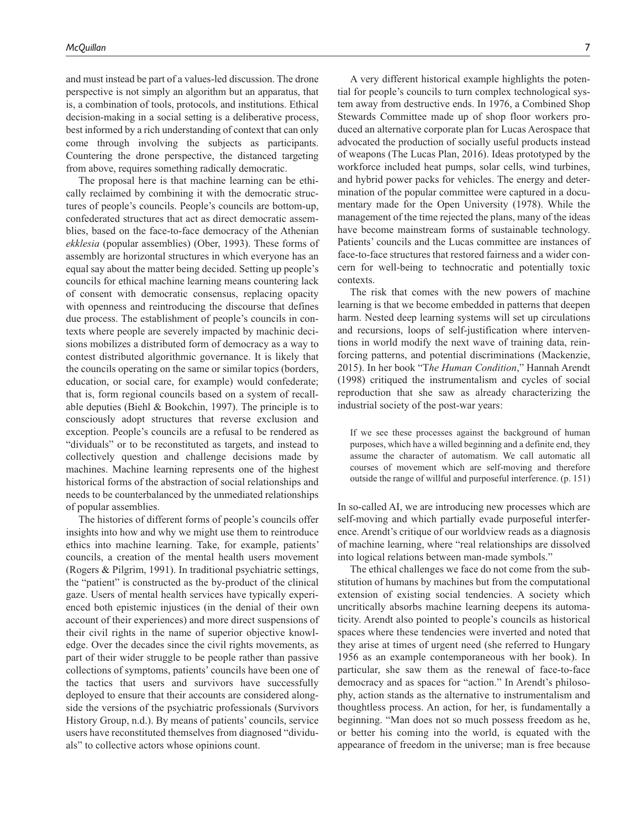and must instead be part of a values-led discussion. The drone perspective is not simply an algorithm but an apparatus, that is, a combination of tools, protocols, and institutions. Ethical decision-making in a social setting is a deliberative process, best informed by a rich understanding of context that can only come through involving the subjects as participants. Countering the drone perspective, the distanced targeting from above, requires something radically democratic.

The proposal here is that machine learning can be ethically reclaimed by combining it with the democratic structures of people's councils. People's councils are bottom-up, confederated structures that act as direct democratic assemblies, based on the face-to-face democracy of the Athenian *ekklesia* (popular assemblies) (Ober, 1993). These forms of assembly are horizontal structures in which everyone has an equal say about the matter being decided. Setting up people's councils for ethical machine learning means countering lack of consent with democratic consensus, replacing opacity with openness and reintroducing the discourse that defines due process. The establishment of people's councils in contexts where people are severely impacted by machinic decisions mobilizes a distributed form of democracy as a way to contest distributed algorithmic governance. It is likely that the councils operating on the same or similar topics (borders, education, or social care, for example) would confederate; that is, form regional councils based on a system of recallable deputies (Biehl & Bookchin, 1997). The principle is to consciously adopt structures that reverse exclusion and exception. People's councils are a refusal to be rendered as "dividuals" or to be reconstituted as targets, and instead to collectively question and challenge decisions made by machines. Machine learning represents one of the highest historical forms of the abstraction of social relationships and needs to be counterbalanced by the unmediated relationships of popular assemblies.

The histories of different forms of people's councils offer insights into how and why we might use them to reintroduce ethics into machine learning. Take, for example, patients' councils, a creation of the mental health users movement (Rogers & Pilgrim, 1991). In traditional psychiatric settings, the "patient" is constructed as the by-product of the clinical gaze. Users of mental health services have typically experienced both epistemic injustices (in the denial of their own account of their experiences) and more direct suspensions of their civil rights in the name of superior objective knowledge. Over the decades since the civil rights movements, as part of their wider struggle to be people rather than passive collections of symptoms, patients' councils have been one of the tactics that users and survivors have successfully deployed to ensure that their accounts are considered alongside the versions of the psychiatric professionals (Survivors History Group, n.d.). By means of patients' councils, service users have reconstituted themselves from diagnosed "dividuals" to collective actors whose opinions count.

tial for people's councils to turn complex technological system away from destructive ends. In 1976, a Combined Shop Stewards Committee made up of shop floor workers produced an alternative corporate plan for Lucas Aerospace that advocated the production of socially useful products instead of weapons (The Lucas Plan, 2016). Ideas prototyped by the workforce included heat pumps, solar cells, wind turbines, and hybrid power packs for vehicles. The energy and determination of the popular committee were captured in a documentary made for the Open University (1978). While the management of the time rejected the plans, many of the ideas have become mainstream forms of sustainable technology. Patients' councils and the Lucas committee are instances of face-to-face structures that restored fairness and a wider concern for well-being to technocratic and potentially toxic contexts.

The risk that comes with the new powers of machine learning is that we become embedded in patterns that deepen harm. Nested deep learning systems will set up circulations and recursions, loops of self-justification where interventions in world modify the next wave of training data, reinforcing patterns, and potential discriminations (Mackenzie, 2015). In her book "T*he Human Condition*," Hannah Arendt (1998) critiqued the instrumentalism and cycles of social reproduction that she saw as already characterizing the industrial society of the post-war years:

If we see these processes against the background of human purposes, which have a willed beginning and a definite end, they assume the character of automatism. We call automatic all courses of movement which are self-moving and therefore outside the range of willful and purposeful interference. (p. 151)

In so-called AI, we are introducing new processes which are self-moving and which partially evade purposeful interference. Arendt's critique of our worldview reads as a diagnosis of machine learning, where "real relationships are dissolved into logical relations between man-made symbols."

The ethical challenges we face do not come from the substitution of humans by machines but from the computational extension of existing social tendencies. A society which uncritically absorbs machine learning deepens its automaticity. Arendt also pointed to people's councils as historical spaces where these tendencies were inverted and noted that they arise at times of urgent need (she referred to Hungary 1956 as an example contemporaneous with her book). In particular, she saw them as the renewal of face-to-face democracy and as spaces for "action." In Arendt's philosophy, action stands as the alternative to instrumentalism and thoughtless process. An action, for her, is fundamentally a beginning. "Man does not so much possess freedom as he, or better his coming into the world, is equated with the appearance of freedom in the universe; man is free because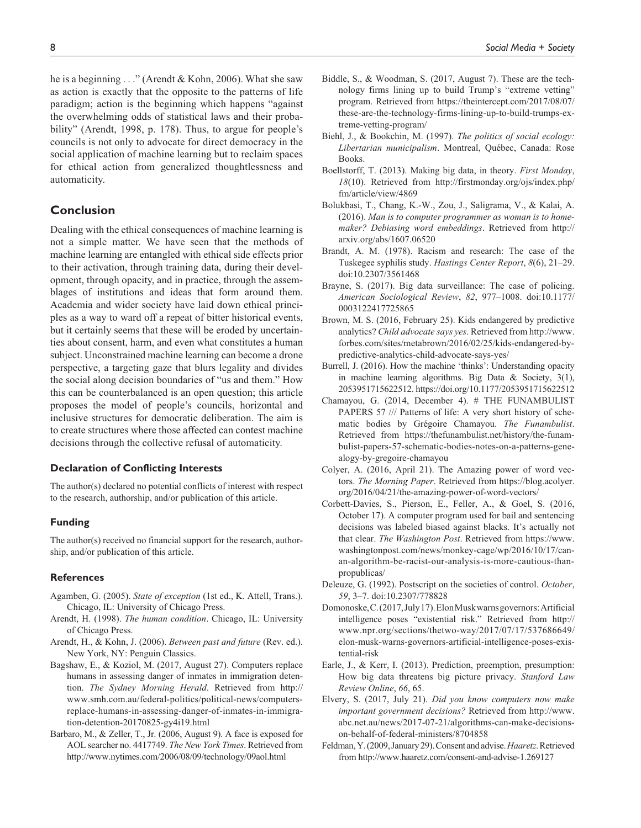he is a beginning . . ." (Arendt & Kohn, 2006). What she saw as action is exactly that the opposite to the patterns of life paradigm; action is the beginning which happens "against the overwhelming odds of statistical laws and their probability" (Arendt, 1998, p. 178). Thus, to argue for people's councils is not only to advocate for direct democracy in the social application of machine learning but to reclaim spaces for ethical action from generalized thoughtlessness and automaticity.

## **Conclusion**

Dealing with the ethical consequences of machine learning is not a simple matter. We have seen that the methods of machine learning are entangled with ethical side effects prior to their activation, through training data, during their development, through opacity, and in practice, through the assemblages of institutions and ideas that form around them. Academia and wider society have laid down ethical principles as a way to ward off a repeat of bitter historical events, but it certainly seems that these will be eroded by uncertainties about consent, harm, and even what constitutes a human subject. Unconstrained machine learning can become a drone perspective, a targeting gaze that blurs legality and divides the social along decision boundaries of "us and them." How this can be counterbalanced is an open question; this article proposes the model of people's councils, horizontal and inclusive structures for democratic deliberation. The aim is to create structures where those affected can contest machine decisions through the collective refusal of automaticity.

#### **Declaration of Conflicting Interests**

The author(s) declared no potential conflicts of interest with respect to the research, authorship, and/or publication of this article.

#### **Funding**

The author(s) received no financial support for the research, authorship, and/or publication of this article.

#### **References**

- Agamben, G. (2005). *State of exception* (1st ed., K. Attell, Trans.). Chicago, IL: University of Chicago Press.
- Arendt, H. (1998). *The human condition*. Chicago, IL: University of Chicago Press.
- Arendt, H., & Kohn, J. (2006). *Between past and future* (Rev. ed.). New York, NY: Penguin Classics.
- Bagshaw, E., & Koziol, M. (2017, August 27). Computers replace humans in assessing danger of inmates in immigration detention. *The Sydney Morning Herald*. Retrieved from [http://](http://www.smh.com.au/federal-politics/political-news/computers-replace-humans-in-assessing-danger-of-inmates-in-immigration-detention-20170825-gy4i19.html) [www.smh.com.au/federal-politics/political-news/computers](http://www.smh.com.au/federal-politics/political-news/computers-replace-humans-in-assessing-danger-of-inmates-in-immigration-detention-20170825-gy4i19.html)[replace-humans-in-assessing-danger-of-inmates-in-immigra](http://www.smh.com.au/federal-politics/political-news/computers-replace-humans-in-assessing-danger-of-inmates-in-immigration-detention-20170825-gy4i19.html)[tion-detention-20170825-gy4i19.html](http://www.smh.com.au/federal-politics/political-news/computers-replace-humans-in-assessing-danger-of-inmates-in-immigration-detention-20170825-gy4i19.html)
- Barbaro, M., & Zeller, T., Jr. (2006, August 9). A face is exposed for AOL searcher no. 4417749. *The New York Times*. Retrieved from <http://www.nytimes.com/2006/08/09/technology/09aol.html>
- Biehl, J., & Bookchin, M. (1997). *The politics of social ecology: Libertarian municipalism*. Montreal, Québec, Canada: Rose Books.
- Boellstorff, T. (2013). Making big data, in theory. *First Monday*, *18*(10). Retrieved from [http://firstmonday.org/ojs/index.php/](http://firstmonday.org/ojs/index.php/fm/article/view/4869) [fm/article/view/4869](http://firstmonday.org/ojs/index.php/fm/article/view/4869)
- Bolukbasi, T., Chang, K.-W., Zou, J., Saligrama, V., & Kalai, A. (2016). *Man is to computer programmer as woman is to homemaker? Debiasing word embeddings*. Retrieved from [http://](http://arxiv.org/abs/1607.06520) [arxiv.org/abs/1607.06520](http://arxiv.org/abs/1607.06520)
- Brandt, A. M. (1978). Racism and research: The case of the Tuskegee syphilis study. *Hastings Center Report*, *8*(6), 21–29. doi:10.2307/3561468
- Brayne, S. (2017). Big data surveillance: The case of policing. *American Sociological Review*, *82*, 977–1008. doi:10.1177/ 0003122417725865
- Brown, M. S. (2016, February 25). Kids endangered by predictive analytics? *Child advocate says yes*. Retrieved from [http://www.](http://www.forbes.com/sites/metabrown/2016/02/25/kids-endangered-by-predictive-analytics-child-advocate-says-yes/) [forbes.com/sites/metabrown/2016/02/25/kids-endangered-by](http://www.forbes.com/sites/metabrown/2016/02/25/kids-endangered-by-predictive-analytics-child-advocate-says-yes/)[predictive-analytics-child-advocate-says-yes/](http://www.forbes.com/sites/metabrown/2016/02/25/kids-endangered-by-predictive-analytics-child-advocate-says-yes/)
- Burrell, J. (2016). How the machine 'thinks': Understanding opacity in machine learning algorithms. Big Data & Society, 3(1), 2053951715622512.<https://doi.org/10.1177/2053951715622512>
- Chamayou, G. (2014, December 4). # THE FUNAMBULIST PAPERS 57 /// Patterns of life: A very short history of schematic bodies by Grégoire Chamayou. *The Funambulist*. Retrieved from [https://thefunambulist.net/history/the-funam](https://thefunambulist.net/history/the-funambulist-papers-57-schematic-bodies-notes-on-a-patterns-genealogy-by-gregoire-chamayou)[bulist-papers-57-schematic-bodies-notes-on-a-patterns-gene](https://thefunambulist.net/history/the-funambulist-papers-57-schematic-bodies-notes-on-a-patterns-genealogy-by-gregoire-chamayou)[alogy-by-gregoire-chamayou](https://thefunambulist.net/history/the-funambulist-papers-57-schematic-bodies-notes-on-a-patterns-genealogy-by-gregoire-chamayou)
- Colyer, A. (2016, April 21). The Amazing power of word vectors. *The Morning Paper*. Retrieved from [https://blog.acolyer.](https://blog.acolyer.org/2016/04/21/the-amazing-power-of-word-vectors/) [org/2016/04/21/the-amazing-power-of-word-vectors/](https://blog.acolyer.org/2016/04/21/the-amazing-power-of-word-vectors/)
- Corbett-Davies, S., Pierson, E., Feller, A., & Goel, S. (2016, October 17). A computer program used for bail and sentencing decisions was labeled biased against blacks. It's actually not that clear. *The Washington Post*. Retrieved from [https://www.](https://www.washingtonpost.com/news/monkey-cage/wp/2016/10/17/can-an-algorithm-be-racist-our-analysis-is-more-cautious-than-propublicas/) [washingtonpost.com/news/monkey-cage/wp/2016/10/17/can](https://www.washingtonpost.com/news/monkey-cage/wp/2016/10/17/can-an-algorithm-be-racist-our-analysis-is-more-cautious-than-propublicas/)[an-algorithm-be-racist-our-analysis-is-more-cautious-than](https://www.washingtonpost.com/news/monkey-cage/wp/2016/10/17/can-an-algorithm-be-racist-our-analysis-is-more-cautious-than-propublicas/)[propublicas/](https://www.washingtonpost.com/news/monkey-cage/wp/2016/10/17/can-an-algorithm-be-racist-our-analysis-is-more-cautious-than-propublicas/)
- Deleuze, G. (1992). Postscript on the societies of control. *October*, *59*, 3–7. doi:10.2307/778828
- Domonoske, C. (2017, July 17). Elon Musk warns governors: Artificial intelligence poses "existential risk." Retrieved from [http://](http://www.npr.org/sections/thetwo-way/2017/07/17/537686649/elon-musk-warns-governors-artificial-intelligence-poses-existential-risk) [www.npr.org/sections/thetwo-way/2017/07/17/537686649/](http://www.npr.org/sections/thetwo-way/2017/07/17/537686649/elon-musk-warns-governors-artificial-intelligence-poses-existential-risk) [elon-musk-warns-governors-artificial-intelligence-poses-exis](http://www.npr.org/sections/thetwo-way/2017/07/17/537686649/elon-musk-warns-governors-artificial-intelligence-poses-existential-risk)[tential-risk](http://www.npr.org/sections/thetwo-way/2017/07/17/537686649/elon-musk-warns-governors-artificial-intelligence-poses-existential-risk)
- Earle, J., & Kerr, I. (2013). Prediction, preemption, presumption: How big data threatens big picture privacy. *Stanford Law Review Online*, *66*, 65.
- Elvery, S. (2017, July 21). *Did you know computers now make important government decisions?* Retrieved from [http://www.](http://www.abc.net.au/news/2017-07-21/algorithms-can-make-decisions-on-behalf-of-federal-ministers/8704858) [abc.net.au/news/2017-07-21/algorithms-can-make-decisions](http://www.abc.net.au/news/2017-07-21/algorithms-can-make-decisions-on-behalf-of-federal-ministers/8704858)[on-behalf-of-federal-ministers/8704858](http://www.abc.net.au/news/2017-07-21/algorithms-can-make-decisions-on-behalf-of-federal-ministers/8704858)
- Feldman, Y. (2009, January 29). Consent and advise. *Haaretz*. Retrieved from<http://www.haaretz.com/consent-and-advise-1.269127>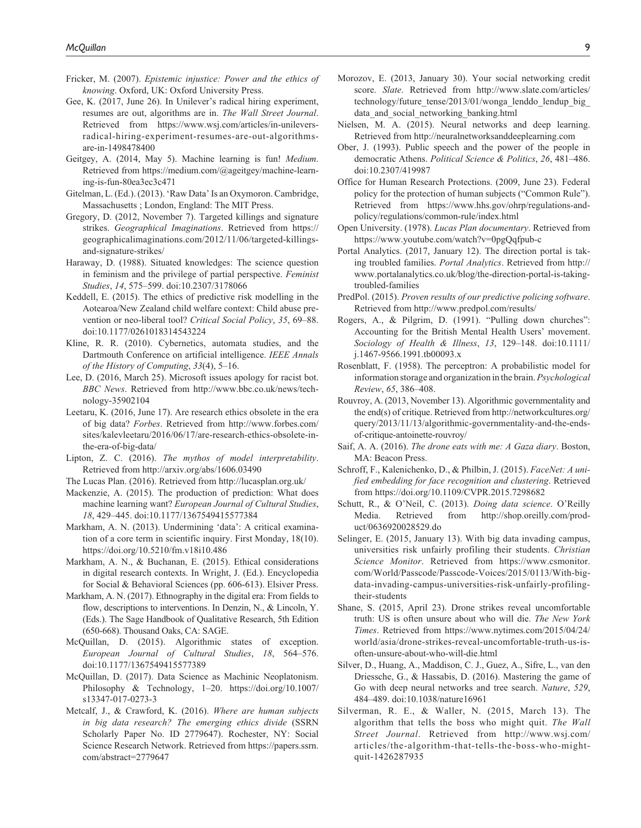- Fricker, M. (2007). *Epistemic injustice: Power and the ethics of knowing*. Oxford, UK: Oxford University Press.
- Gee, K. (2017, June 26). In Unilever's radical hiring experiment, resumes are out, algorithms are in. *The Wall Street Journal*. Retrieved from [https://www.wsj.com/articles/in-unilevers](https://www.wsj.com/articles/in-unilevers-radical-hiring-experiment-resumes-are-out-algorithms-are-in-1498478400)[radical-hiring-experiment-resumes-are-out-algorithms](https://www.wsj.com/articles/in-unilevers-radical-hiring-experiment-resumes-are-out-algorithms-are-in-1498478400)[are-in-1498478400](https://www.wsj.com/articles/in-unilevers-radical-hiring-experiment-resumes-are-out-algorithms-are-in-1498478400)
- Geitgey, A. (2014, May 5). Machine learning is fun! *Medium*. Retrieved from [https://medium.com/@](https://medium.com/)ageitgey/machine-learning-is-fun-80ea3ec3c471
- Gitelman, L. (Ed.). (2013). 'Raw Data' Is an Oxymoron. Cambridge, Massachusetts ; London, England: The MIT Press.
- Gregory, D. (2012, November 7). Targeted killings and signature strikes. *Geographical Imaginations*. Retrieved from [https://](https://geographicalimaginations.com/2012/11/06/targeted-killings-and-signature-strikes/) [geographicalimaginations.com/2012/11/06/targeted-killings](https://geographicalimaginations.com/2012/11/06/targeted-killings-and-signature-strikes/)[and-signature-strikes/](https://geographicalimaginations.com/2012/11/06/targeted-killings-and-signature-strikes/)
- Haraway, D. (1988). Situated knowledges: The science question in feminism and the privilege of partial perspective. *Feminist Studies*, *14*, 575–599. doi:10.2307/3178066
- Keddell, E. (2015). The ethics of predictive risk modelling in the Aotearoa/New Zealand child welfare context: Child abuse prevention or neo-liberal tool? *Critical Social Policy*, *35*, 69–88. doi:10.1177/0261018314543224
- Kline, R. R. (2010). Cybernetics, automata studies, and the Dartmouth Conference on artificial intelligence. *IEEE Annals of the History of Computing*, *33*(4), 5–16.
- Lee, D. (2016, March 25). Microsoft issues apology for racist bot. *BBC News*. Retrieved from [http://www.bbc.co.uk/news/tech](http://www.bbc.co.uk/news/technology-35902104)[nology-35902104](http://www.bbc.co.uk/news/technology-35902104)
- Leetaru, K. (2016, June 17). Are research ethics obsolete in the era of big data? *Forbes*. Retrieved from [http://www.forbes.com/](http://www.forbes.com/sites/kalevleetaru/2016/06/17/are-research-ethics-obsolete-in-the-era-of-big-data/) [sites/kalevleetaru/2016/06/17/are-research-ethics-obsolete-in](http://www.forbes.com/sites/kalevleetaru/2016/06/17/are-research-ethics-obsolete-in-the-era-of-big-data/)[the-era-of-big-data/](http://www.forbes.com/sites/kalevleetaru/2016/06/17/are-research-ethics-obsolete-in-the-era-of-big-data/)
- Lipton, Z. C. (2016). *The mythos of model interpretability*. Retrieved from <http://arxiv.org/abs/1606.03490>
- The Lucas Plan. (2016). Retrieved from <http://lucasplan.org.uk/>
- Mackenzie, A. (2015). The production of prediction: What does machine learning want? *European Journal of Cultural Studies*, *18*, 429–445. doi:10.1177/1367549415577384
- Markham, A. N. (2013). Undermining 'data': A critical examination of a core term in scientific inquiry. First Monday, 18(10). https://doi.org/10.5210/fm.v18i10.486
- Markham, A. N., & Buchanan, E. (2015). Ethical considerations in digital research contexts. In Wright, J. (Ed.). Encyclopedia for Social & Behavioral Sciences (pp. 606-613). Elsiver Press.
- Markham, A. N. (2017). Ethnography in the digital era: From fields to flow, descriptions to interventions. In Denzin, N., & Lincoln, Y. (Eds.). The Sage Handbook of Qualitative Research, 5th Edition (650-668). Thousand Oaks, CA: SAGE.
- McQuillan, D. (2015). Algorithmic states of exception. *European Journal of Cultural Studies*, *18*, 564–576. doi:10.1177/1367549415577389
- McQuillan, D. (2017). Data Science as Machinic Neoplatonism. Philosophy & Technology, 1–20. [https://doi.org/10.1007/](https://doi.org/10.1007/s13347-017-0273-3) [s13347-017-0273-3](https://doi.org/10.1007/s13347-017-0273-3)
- Metcalf, J., & Crawford, K. (2016). *Where are human subjects in big data research? The emerging ethics divide* (SSRN Scholarly Paper No. ID 2779647). Rochester, NY: Social Science Research Network. Retrieved from [https://papers.ssrn.](https://papers.ssrn.com/abstract=2779647) [com/abstract=2779647](https://papers.ssrn.com/abstract=2779647)
- Morozov, E. (2013, January 30). Your social networking credit score. *Slate*. Retrieved from [http://www.slate.com/articles/](http://www.slate.com/articles/technology/future_tense/2013/01/wonga_lenddo_lendup_big_data_and_social_networking_banking.html) technology/future\_tense/2013/01/wonga\_lenddo\_lendup\_big data and social networking banking.html
- Nielsen, M. A. (2015). Neural networks and deep learning. Retrieved from<http://neuralnetworksanddeeplearning.com>
- Ober, J. (1993). Public speech and the power of the people in democratic Athens. *Political Science & Politics*, *26*, 481–486. doi:10.2307/419987
- Office for Human Research Protections. (2009, June 23). Federal policy for the protection of human subjects ("Common Rule"). Retrieved from [https://www.hhs.gov/ohrp/regulations-and](https://www.hhs.gov/ohrp/regulations-and-policy/regulations/common-rule/index.html)[policy/regulations/common-rule/index.html](https://www.hhs.gov/ohrp/regulations-and-policy/regulations/common-rule/index.html)
- Open University. (1978). *Lucas Plan documentary*. Retrieved from <https://www.youtube.com/watch?v=0pgQqfpub-c>
- Portal Analytics. (2017, January 12). The direction portal is taking troubled families. *Portal Analytics*. Retrieved from [http://](http://www.portalanalytics.co.uk/blog/the-direction-portal-is-taking-troubled-families) [www.portalanalytics.co.uk/blog/the-direction-portal-is-taking](http://www.portalanalytics.co.uk/blog/the-direction-portal-is-taking-troubled-families)[troubled-families](http://www.portalanalytics.co.uk/blog/the-direction-portal-is-taking-troubled-families)
- PredPol. (2015). *Proven results of our predictive policing software*. Retrieved from<http://www.predpol.com/results/>
- Rogers, A., & Pilgrim, D. (1991). "Pulling down churches": Accounting for the British Mental Health Users' movement. *Sociology of Health & Illness*, *13*, 129–148. doi:10.1111/ j.1467-9566.1991.tb00093.x
- Rosenblatt, F. (1958). The perceptron: A probabilistic model for information storage and organization in the brain. *Psychological Review*, *65*, 386–408.
- Rouvroy, A. (2013, November 13). Algorithmic governmentality and the end(s) of critique. Retrieved from [http://networkcultures.org/](http://networkcultures.org/query/2013/11/13/algorithmic-governmentality-and-the-ends-of-critique-antoinette-rouvroy/) [query/2013/11/13/algorithmic-governmentality-and-the-ends](http://networkcultures.org/query/2013/11/13/algorithmic-governmentality-and-the-ends-of-critique-antoinette-rouvroy/)[of-critique-antoinette-rouvroy/](http://networkcultures.org/query/2013/11/13/algorithmic-governmentality-and-the-ends-of-critique-antoinette-rouvroy/)
- Saif, A. A. (2016). *The drone eats with me: A Gaza diary*. Boston, MA: Beacon Press.
- Schroff, F., Kalenichenko, D., & Philbin, J. (2015). *FaceNet: A unified embedding for face recognition and clustering*. Retrieved from<https://doi.org/10.1109/CVPR.2015.7298682>
- Schutt, R., & O'Neil, C. (2013). *Doing data science*. O'Reilly Media. Retrieved from [http://shop.oreilly.com/prod](http://shop.oreilly.com/product/0636920028529.do)[uct/0636920028529.do](http://shop.oreilly.com/product/0636920028529.do)
- Selinger, E. (2015, January 13). With big data invading campus, universities risk unfairly profiling their students. *Christian Science Monitor*. Retrieved from [https://www.csmonitor.](https://www.csmonitor.com/World/Passcode/Passcode-Voices/2015/0113/With-big-data-invading-campus-universities-risk-unfairly-profiling-their-students) [com/World/Passcode/Passcode-Voices/2015/0113/With-big](https://www.csmonitor.com/World/Passcode/Passcode-Voices/2015/0113/With-big-data-invading-campus-universities-risk-unfairly-profiling-their-students)[data-invading-campus-universities-risk-unfairly-profiling](https://www.csmonitor.com/World/Passcode/Passcode-Voices/2015/0113/With-big-data-invading-campus-universities-risk-unfairly-profiling-their-students)[their-students](https://www.csmonitor.com/World/Passcode/Passcode-Voices/2015/0113/With-big-data-invading-campus-universities-risk-unfairly-profiling-their-students)
- Shane, S. (2015, April 23). Drone strikes reveal uncomfortable truth: US is often unsure about who will die. *The New York Times*. Retrieved from [https://www.nytimes.com/2015/04/24/](https://www.nytimes.com/2015/04/24/world/asia/drone-strikes-reveal-uncomfortable-truth-us-is-often-unsure-about-who-will-die.html) [world/asia/drone-strikes-reveal-uncomfortable-truth-us-is](https://www.nytimes.com/2015/04/24/world/asia/drone-strikes-reveal-uncomfortable-truth-us-is-often-unsure-about-who-will-die.html)[often-unsure-about-who-will-die.html](https://www.nytimes.com/2015/04/24/world/asia/drone-strikes-reveal-uncomfortable-truth-us-is-often-unsure-about-who-will-die.html)
- Silver, D., Huang, A., Maddison, C. J., Guez, A., Sifre, L., van den Driessche, G., & Hassabis, D. (2016). Mastering the game of Go with deep neural networks and tree search. *Nature*, *529*, 484–489. doi:10.1038/nature16961
- Silverman, R. E., & Waller, N. (2015, March 13). The algorithm that tells the boss who might quit. *The Wall Street Journal*. Retrieved from [http://www.wsj.com/](http://www.wsj.com/articles/the-algorithm-that-tells-the-boss-who-might-quit-1426287935) [articles/the-algorithm-that-tells-the-boss-who-might](http://www.wsj.com/articles/the-algorithm-that-tells-the-boss-who-might-quit-1426287935)[quit-1426287935](http://www.wsj.com/articles/the-algorithm-that-tells-the-boss-who-might-quit-1426287935)